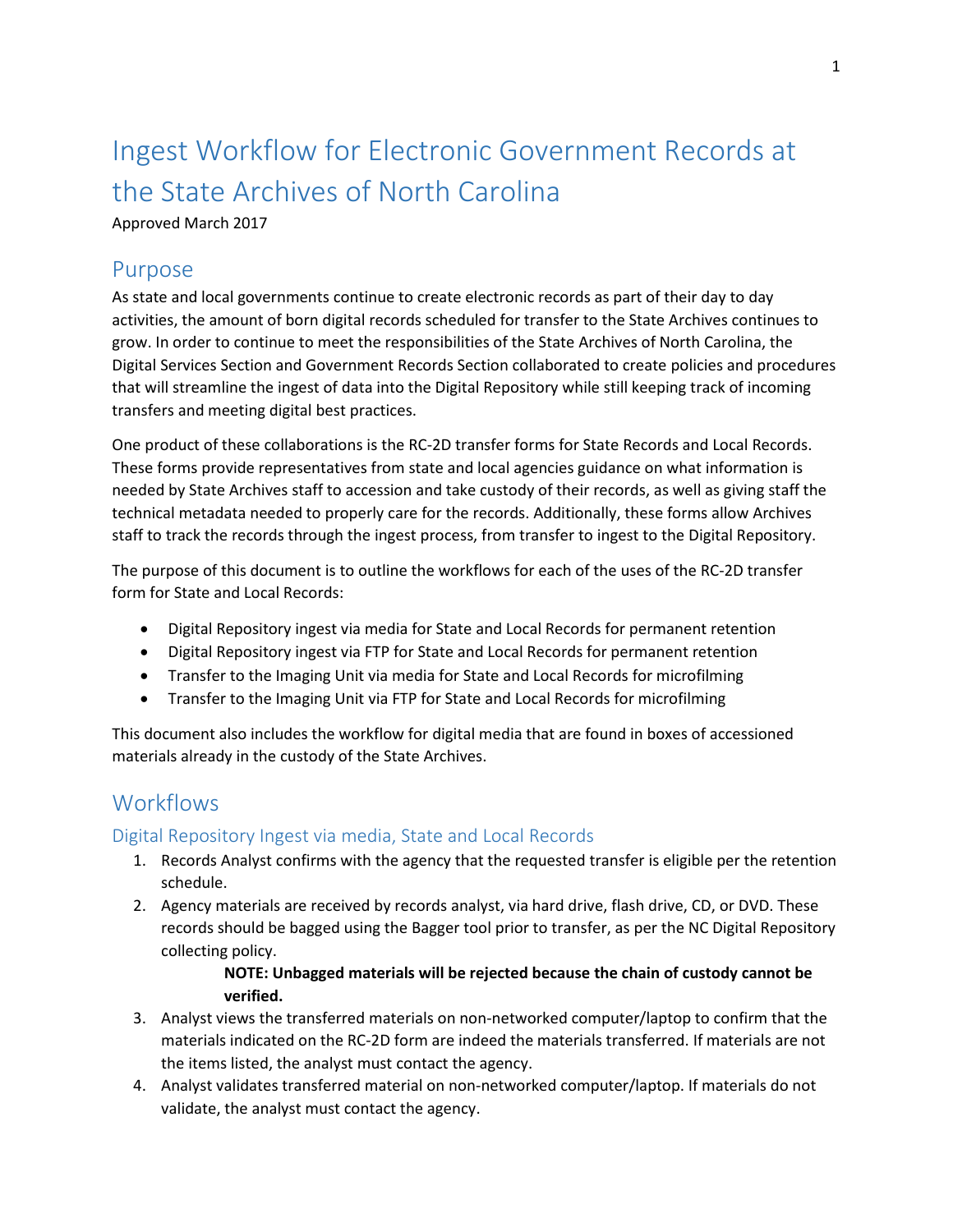# Ingest Workflow for Electronic Government Records at the State Archives of North Carolina

## Approved March 2017

# Purpose

As state and local governments continue to create electronic records as part of their day to day activities, the amount of born digital records scheduled for transfer to the State Archives continues to grow. In order to continue to meet the responsibilities of the State Archives of North Carolina, the Digital Services Section and Government Records Section collaborated to create policies and procedures that will streamline the ingest of data into the Digital Repository while still keeping track of incoming transfers and meeting digital best practices.

One product of these collaborations is the RC-2D transfer forms for State Records and Local Records. These forms provide representatives from state and local agencies guidance on what information is needed by State Archives staff to accession and take custody of their records, as well as giving staff the technical metadata needed to properly care for the records. Additionally, these forms allow Archives staff to track the records through the ingest process, from transfer to ingest to the Digital Repository.

The purpose of this document is to outline the workflows for each of the uses of the RC-2D transfer form for State and Local Records:

- Digital Repository ingest via media for State and Local Records for permanent retention
- Digital Repository ingest via FTP for State and Local Records for permanent retention
- Transfer to the Imaging Unit via media for State and Local Records for microfilming
- Transfer to the Imaging Unit via FTP for State and Local Records for microfilming

This document also includes the workflow for digital media that are found in boxes of accessioned materials already in the custody of the State Archives.

# **Workflows**

# Digital Repository Ingest via media, State and Local Records

- 1. Records Analyst confirms with the agency that the requested transfer is eligible per the retention schedule.
- 2. Agency materials are received by records analyst, via hard drive, flash drive, CD, or DVD. These records should be bagged using the Bagger tool prior to transfer, as per the NC Digital Repository collecting policy.

#### **NOTE: Unbagged materials will be rejected because the chain of custody cannot be verified.**

- 3. Analyst views the transferred materials on non-networked computer/laptop to confirm that the materials indicated on the RC-2D form are indeed the materials transferred. If materials are not the items listed, the analyst must contact the agency.
- 4. Analyst validates transferred material on non-networked computer/laptop. If materials do not validate, the analyst must contact the agency.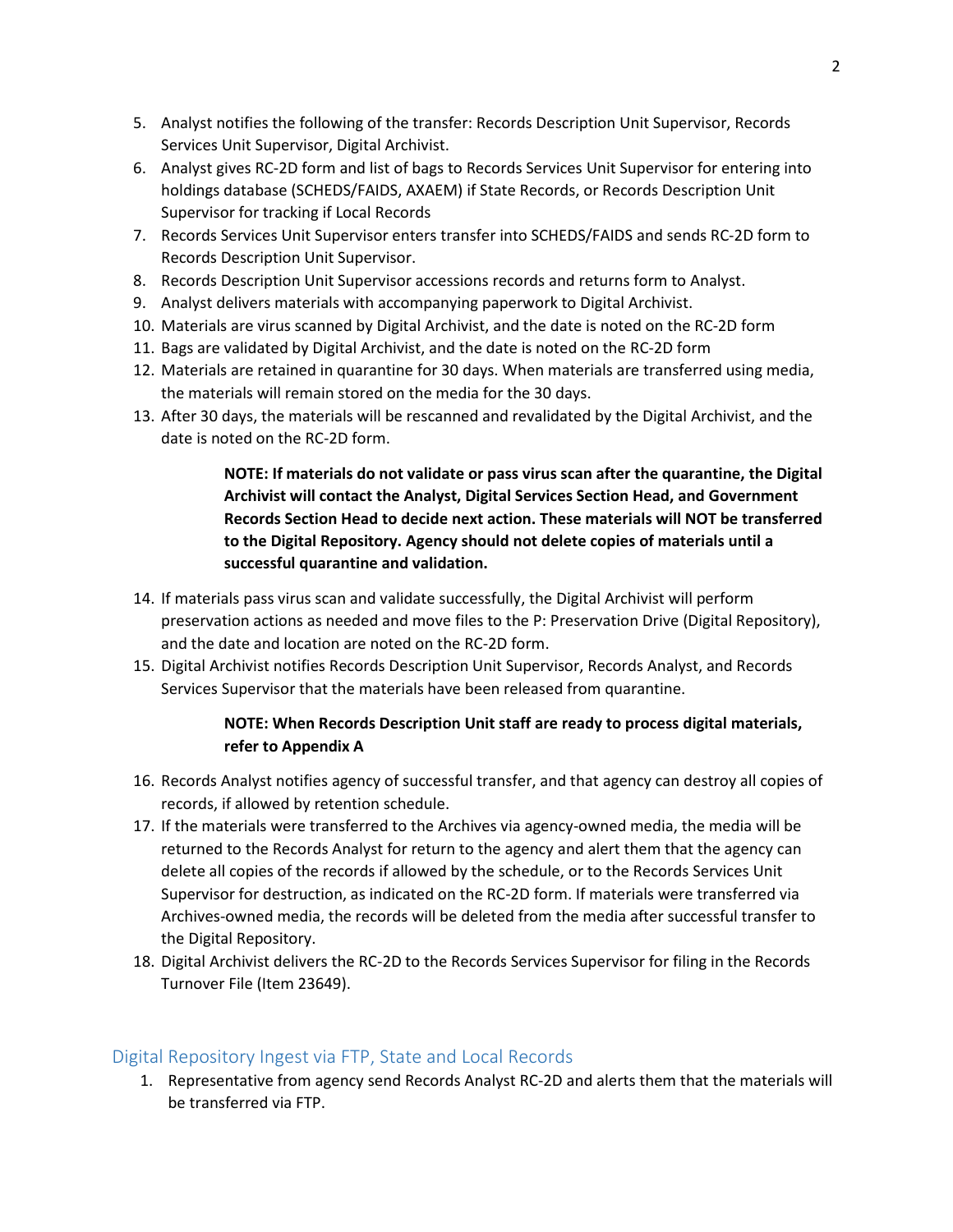- 5. Analyst notifies the following of the transfer: Records Description Unit Supervisor, Records Services Unit Supervisor, Digital Archivist.
- 6. Analyst gives RC-2D form and list of bags to Records Services Unit Supervisor for entering into holdings database (SCHEDS/FAIDS, AXAEM) if State Records, or Records Description Unit Supervisor for tracking if Local Records
- 7. Records Services Unit Supervisor enters transfer into SCHEDS/FAIDS and sends RC-2D form to Records Description Unit Supervisor.
- 8. Records Description Unit Supervisor accessions records and returns form to Analyst.
- 9. Analyst delivers materials with accompanying paperwork to Digital Archivist.
- 10. Materials are virus scanned by Digital Archivist, and the date is noted on the RC-2D form
- 11. Bags are validated by Digital Archivist, and the date is noted on the RC-2D form
- 12. Materials are retained in quarantine for 30 days. When materials are transferred using media, the materials will remain stored on the media for the 30 days.
- 13. After 30 days, the materials will be rescanned and revalidated by the Digital Archivist, and the date is noted on the RC-2D form.

# **NOTE: If materials do not validate or pass virus scan after the quarantine, the Digital Archivist will contact the Analyst, Digital Services Section Head, and Government Records Section Head to decide next action. These materials will NOT be transferred to the Digital Repository. Agency should not delete copies of materials until a successful quarantine and validation.**

- 14. If materials pass virus scan and validate successfully, the Digital Archivist will perform preservation actions as needed and move files to the P: Preservation Drive (Digital Repository), and the date and location are noted on the RC-2D form.
- 15. Digital Archivist notifies Records Description Unit Supervisor, Records Analyst, and Records Services Supervisor that the materials have been released from quarantine.

#### **NOTE: When Records Description Unit staff are ready to process digital materials, refer to Appendix A**

- 16. Records Analyst notifies agency of successful transfer, and that agency can destroy all copies of records, if allowed by retention schedule.
- 17. If the materials were transferred to the Archives via agency-owned media, the media will be returned to the Records Analyst for return to the agency and alert them that the agency can delete all copies of the records if allowed by the schedule, or to the Records Services Unit Supervisor for destruction, as indicated on the RC-2D form. If materials were transferred via Archives-owned media, the records will be deleted from the media after successful transfer to the Digital Repository.
- 18. Digital Archivist delivers the RC-2D to the Records Services Supervisor for filing in the Records Turnover File (Item 23649).

# Digital Repository Ingest via FTP, State and Local Records

1. Representative from agency send Records Analyst RC-2D and alerts them that the materials will be transferred via FTP.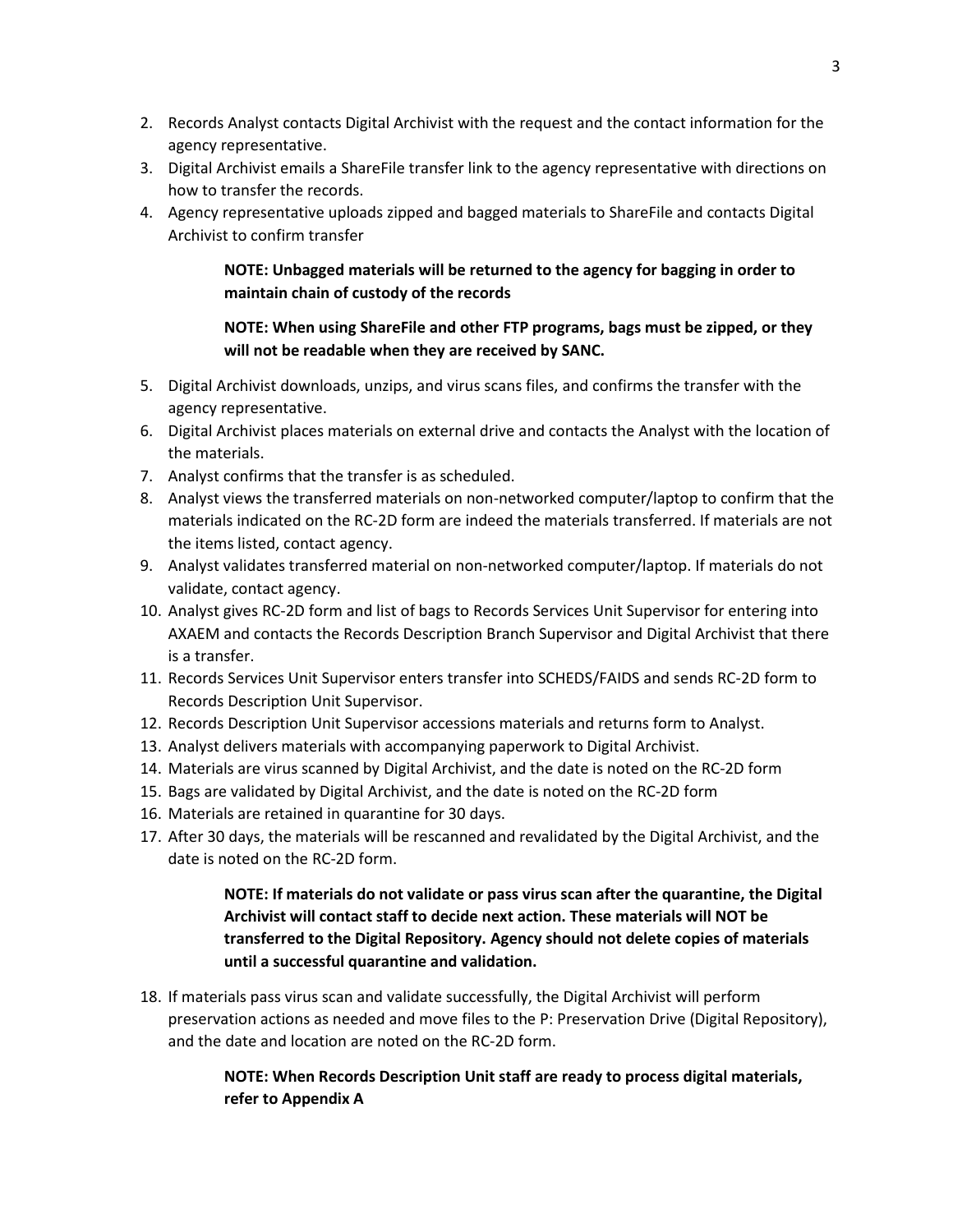- 2. Records Analyst contacts Digital Archivist with the request and the contact information for the agency representative.
- 3. Digital Archivist emails a ShareFile transfer link to the agency representative with directions on how to transfer the records.
- 4. Agency representative uploads zipped and bagged materials to ShareFile and contacts Digital Archivist to confirm transfer

#### **NOTE: Unbagged materials will be returned to the agency for bagging in order to maintain chain of custody of the records**

#### **NOTE: When using ShareFile and other FTP programs, bags must be zipped, or they will not be readable when they are received by SANC.**

- 5. Digital Archivist downloads, unzips, and virus scans files, and confirms the transfer with the agency representative.
- 6. Digital Archivist places materials on external drive and contacts the Analyst with the location of the materials.
- 7. Analyst confirms that the transfer is as scheduled.
- 8. Analyst views the transferred materials on non-networked computer/laptop to confirm that the materials indicated on the RC-2D form are indeed the materials transferred. If materials are not the items listed, contact agency.
- 9. Analyst validates transferred material on non-networked computer/laptop. If materials do not validate, contact agency.
- 10. Analyst gives RC-2D form and list of bags to Records Services Unit Supervisor for entering into AXAEM and contacts the Records Description Branch Supervisor and Digital Archivist that there is a transfer.
- 11. Records Services Unit Supervisor enters transfer into SCHEDS/FAIDS and sends RC-2D form to Records Description Unit Supervisor.
- 12. Records Description Unit Supervisor accessions materials and returns form to Analyst.
- 13. Analyst delivers materials with accompanying paperwork to Digital Archivist.
- 14. Materials are virus scanned by Digital Archivist, and the date is noted on the RC-2D form
- 15. Bags are validated by Digital Archivist, and the date is noted on the RC-2D form
- 16. Materials are retained in quarantine for 30 days.
- 17. After 30 days, the materials will be rescanned and revalidated by the Digital Archivist, and the date is noted on the RC-2D form.

# **NOTE: If materials do not validate or pass virus scan after the quarantine, the Digital Archivist will contact staff to decide next action. These materials will NOT be transferred to the Digital Repository. Agency should not delete copies of materials until a successful quarantine and validation.**

18. If materials pass virus scan and validate successfully, the Digital Archivist will perform preservation actions as needed and move files to the P: Preservation Drive (Digital Repository), and the date and location are noted on the RC-2D form.

# **NOTE: When Records Description Unit staff are ready to process digital materials, refer to Appendix A**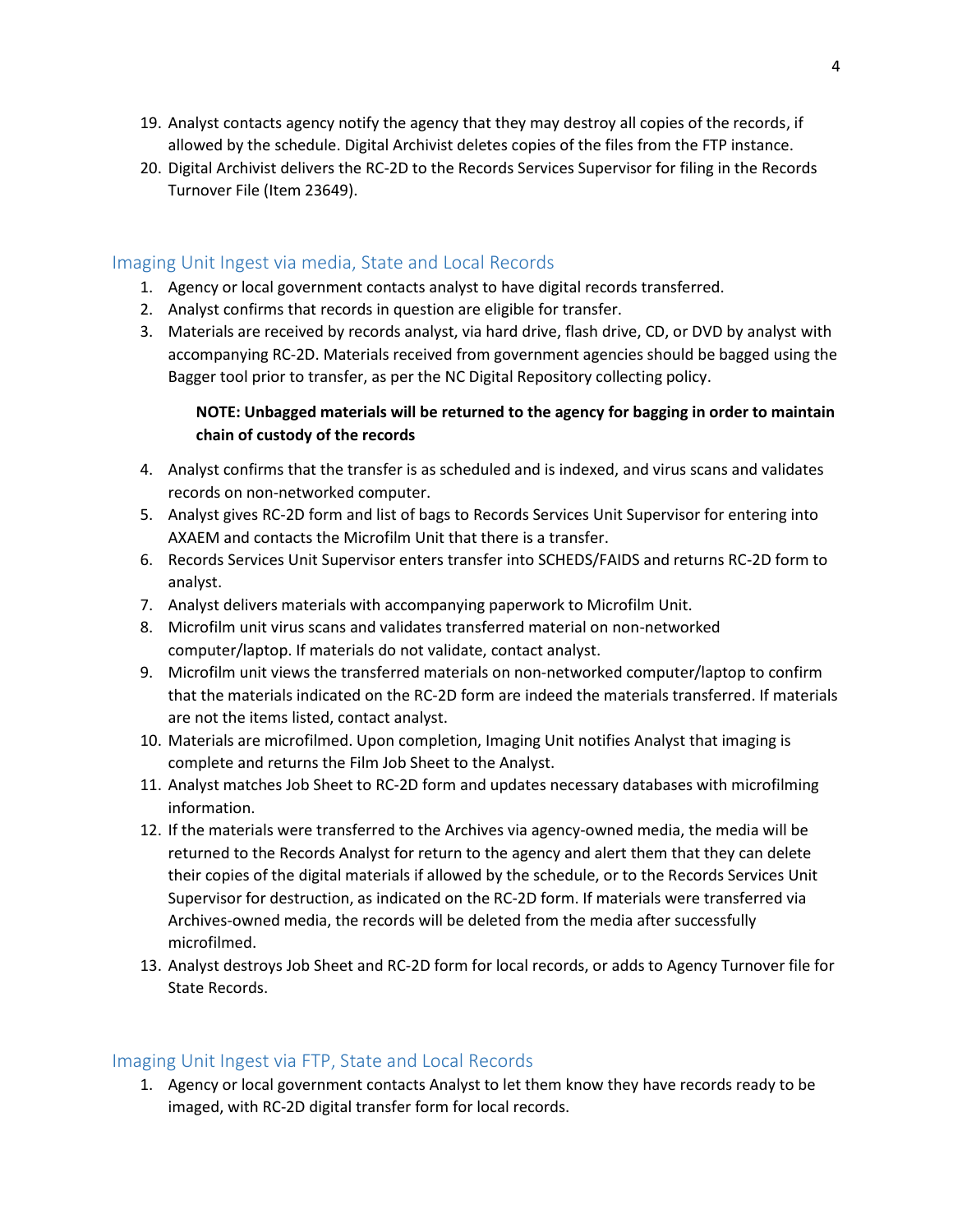- 19. Analyst contacts agency notify the agency that they may destroy all copies of the records, if allowed by the schedule. Digital Archivist deletes copies of the files from the FTP instance.
- 20. Digital Archivist delivers the RC-2D to the Records Services Supervisor for filing in the Records Turnover File (Item 23649).

#### Imaging Unit Ingest via media, State and Local Records

- 1. Agency or local government contacts analyst to have digital records transferred.
- 2. Analyst confirms that records in question are eligible for transfer.
- 3. Materials are received by records analyst, via hard drive, flash drive, CD, or DVD by analyst with accompanying RC-2D. Materials received from government agencies should be bagged using the Bagger tool prior to transfer, as per the NC Digital Repository collecting policy.

#### **NOTE: Unbagged materials will be returned to the agency for bagging in order to maintain chain of custody of the records**

- 4. Analyst confirms that the transfer is as scheduled and is indexed, and virus scans and validates records on non-networked computer.
- 5. Analyst gives RC-2D form and list of bags to Records Services Unit Supervisor for entering into AXAEM and contacts the Microfilm Unit that there is a transfer.
- 6. Records Services Unit Supervisor enters transfer into SCHEDS/FAIDS and returns RC-2D form to analyst.
- 7. Analyst delivers materials with accompanying paperwork to Microfilm Unit.
- 8. Microfilm unit virus scans and validates transferred material on non-networked computer/laptop. If materials do not validate, contact analyst.
- 9. Microfilm unit views the transferred materials on non-networked computer/laptop to confirm that the materials indicated on the RC-2D form are indeed the materials transferred. If materials are not the items listed, contact analyst.
- 10. Materials are microfilmed. Upon completion, Imaging Unit notifies Analyst that imaging is complete and returns the Film Job Sheet to the Analyst.
- 11. Analyst matches Job Sheet to RC-2D form and updates necessary databases with microfilming information.
- 12. If the materials were transferred to the Archives via agency-owned media, the media will be returned to the Records Analyst for return to the agency and alert them that they can delete their copies of the digital materials if allowed by the schedule, or to the Records Services Unit Supervisor for destruction, as indicated on the RC-2D form. If materials were transferred via Archives-owned media, the records will be deleted from the media after successfully microfilmed.
- 13. Analyst destroys Job Sheet and RC-2D form for local records, or adds to Agency Turnover file for State Records.

#### Imaging Unit Ingest via FTP, State and Local Records

1. Agency or local government contacts Analyst to let them know they have records ready to be imaged, with RC-2D digital transfer form for local records.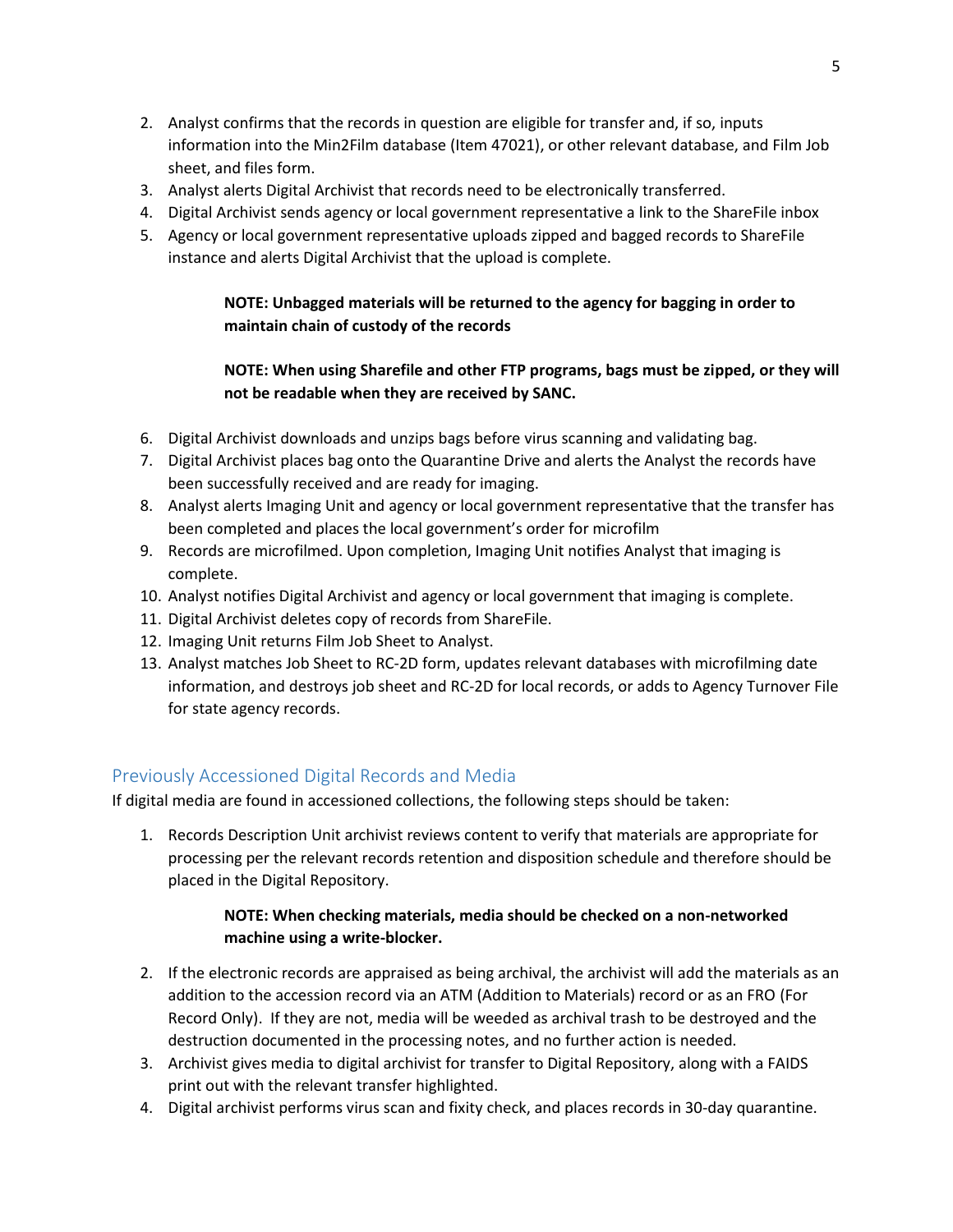- 2. Analyst confirms that the records in question are eligible for transfer and, if so, inputs information into the Min2Film database (Item 47021), or other relevant database, and Film Job sheet, and files form.
- 3. Analyst alerts Digital Archivist that records need to be electronically transferred.
- 4. Digital Archivist sends agency or local government representative a link to the ShareFile inbox
- 5. Agency or local government representative uploads zipped and bagged records to ShareFile instance and alerts Digital Archivist that the upload is complete.

**NOTE: Unbagged materials will be returned to the agency for bagging in order to maintain chain of custody of the records**

## **NOTE: When using Sharefile and other FTP programs, bags must be zipped, or they will not be readable when they are received by SANC.**

- 6. Digital Archivist downloads and unzips bags before virus scanning and validating bag.
- 7. Digital Archivist places bag onto the Quarantine Drive and alerts the Analyst the records have been successfully received and are ready for imaging.
- 8. Analyst alerts Imaging Unit and agency or local government representative that the transfer has been completed and places the local government's order for microfilm
- 9. Records are microfilmed. Upon completion, Imaging Unit notifies Analyst that imaging is complete.
- 10. Analyst notifies Digital Archivist and agency or local government that imaging is complete.
- 11. Digital Archivist deletes copy of records from ShareFile.
- 12. Imaging Unit returns Film Job Sheet to Analyst.
- 13. Analyst matches Job Sheet to RC-2D form, updates relevant databases with microfilming date information, and destroys job sheet and RC-2D for local records, or adds to Agency Turnover File for state agency records.

# Previously Accessioned Digital Records and Media

If digital media are found in accessioned collections, the following steps should be taken:

1. Records Description Unit archivist reviews content to verify that materials are appropriate for processing per the relevant records retention and disposition schedule and therefore should be placed in the Digital Repository.

#### **NOTE: When checking materials, media should be checked on a non-networked machine using a write-blocker.**

- 2. If the electronic records are appraised as being archival, the archivist will add the materials as an addition to the accession record via an ATM (Addition to Materials) record or as an FRO (For Record Only). If they are not, media will be weeded as archival trash to be destroyed and the destruction documented in the processing notes, and no further action is needed.
- 3. Archivist gives media to digital archivist for transfer to Digital Repository, along with a FAIDS print out with the relevant transfer highlighted.
- 4. Digital archivist performs virus scan and fixity check, and places records in 30-day quarantine.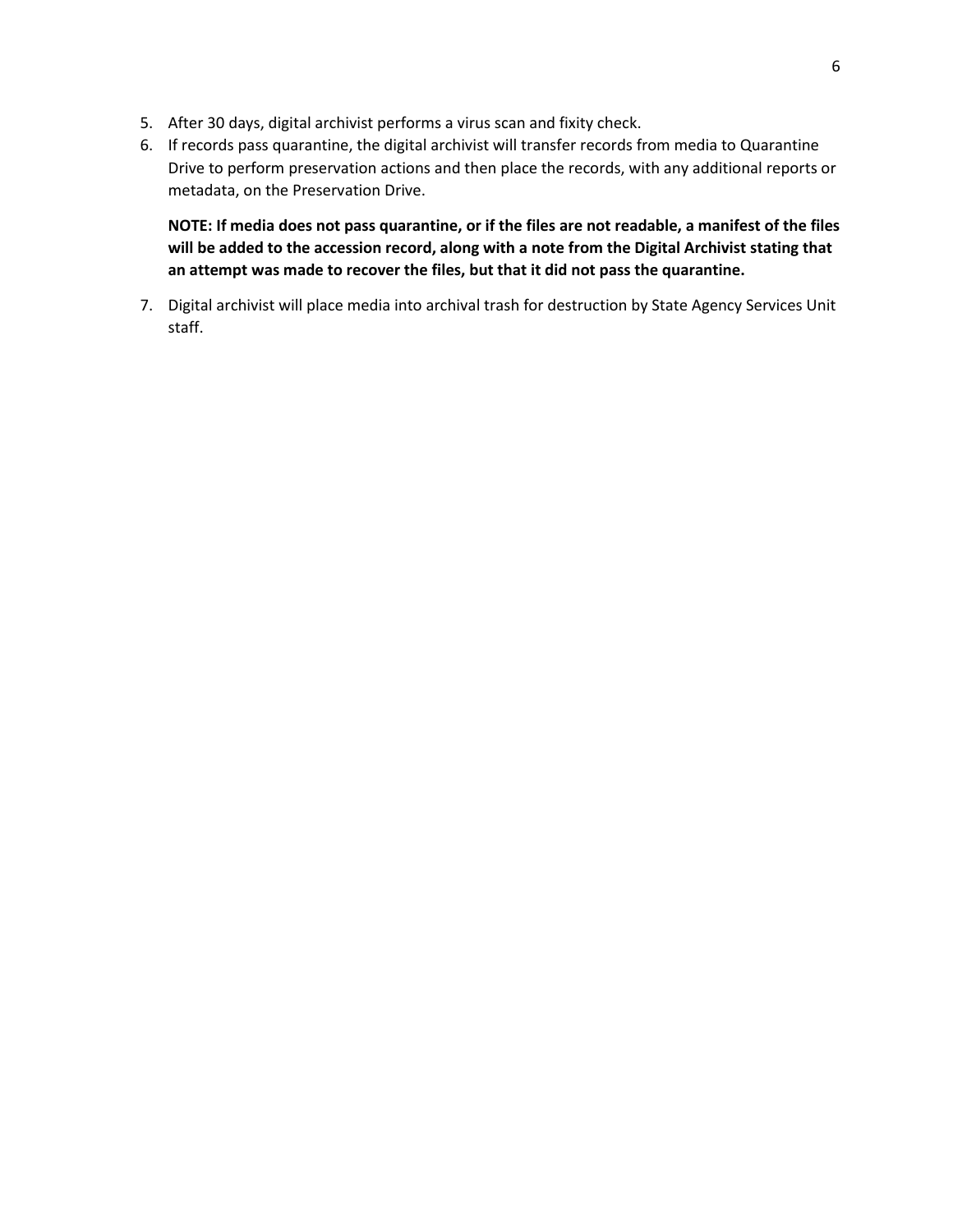- 5. After 30 days, digital archivist performs a virus scan and fixity check.
- 6. If records pass quarantine, the digital archivist will transfer records from media to Quarantine Drive to perform preservation actions and then place the records, with any additional reports or metadata, on the Preservation Drive.

**NOTE: If media does not pass quarantine, or if the files are not readable, a manifest of the files will be added to the accession record, along with a note from the Digital Archivist stating that an attempt was made to recover the files, but that it did not pass the quarantine.**

7. Digital archivist will place media into archival trash for destruction by State Agency Services Unit staff.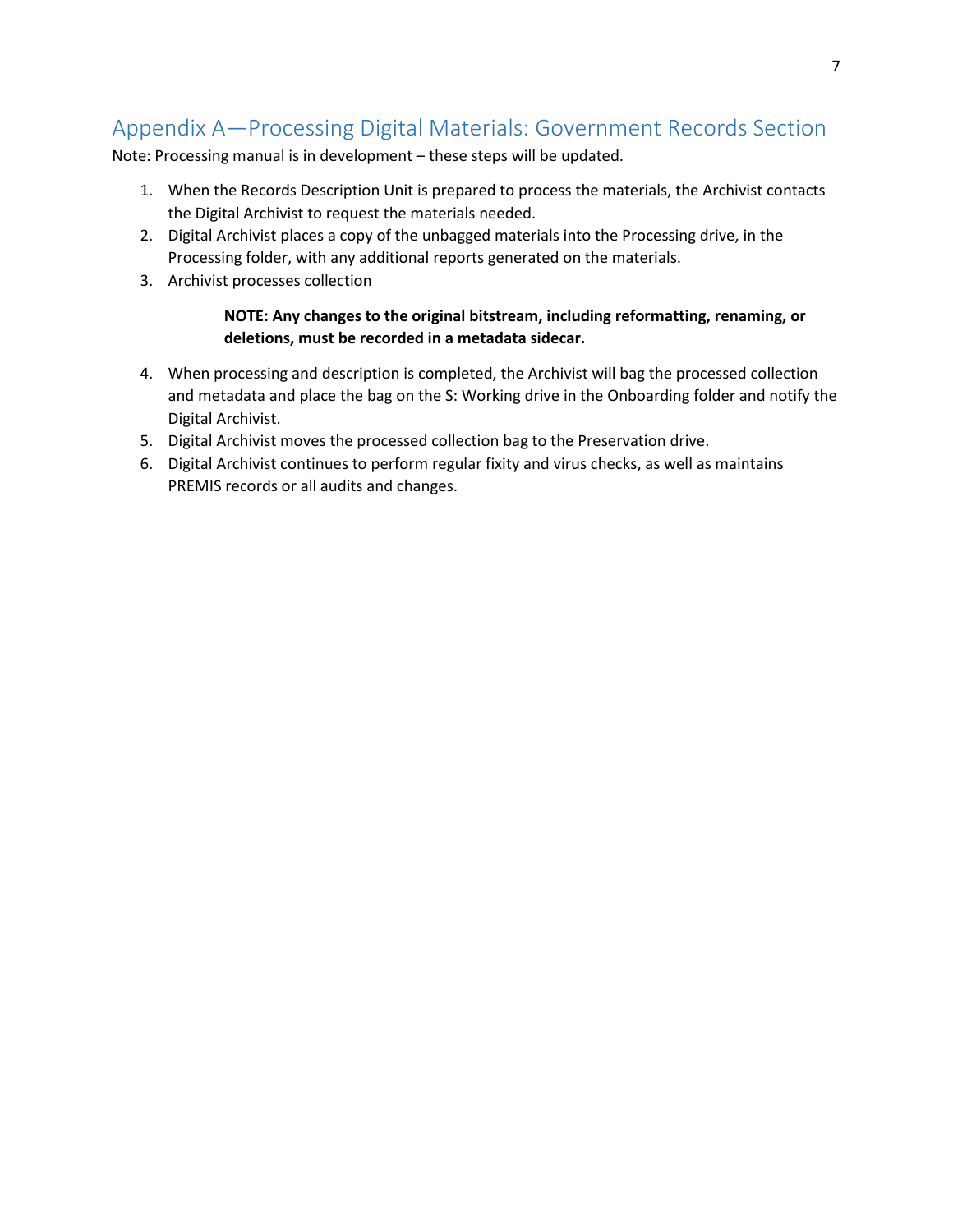# Appendix A—Processing Digital Materials: Government Records Section

Note: Processing manual is in development – these steps will be updated.

- 1. When the Records Description Unit is prepared to process the materials, the Archivist contacts the Digital Archivist to request the materials needed.
- 2. Digital Archivist places a copy of the unbagged materials into the Processing drive, in the Processing folder, with any additional reports generated on the materials.
- 3. Archivist processes collection

#### **NOTE: Any changes to the original bitstream, including reformatting, renaming, or deletions, must be recorded in a metadata sidecar.**

- 4. When processing and description is completed, the Archivist will bag the processed collection and metadata and place the bag on the S: Working drive in the Onboarding folder and notify the Digital Archivist.
- 5. Digital Archivist moves the processed collection bag to the Preservation drive.
- 6. Digital Archivist continues to perform regular fixity and virus checks, as well as maintains PREMIS records or all audits and changes.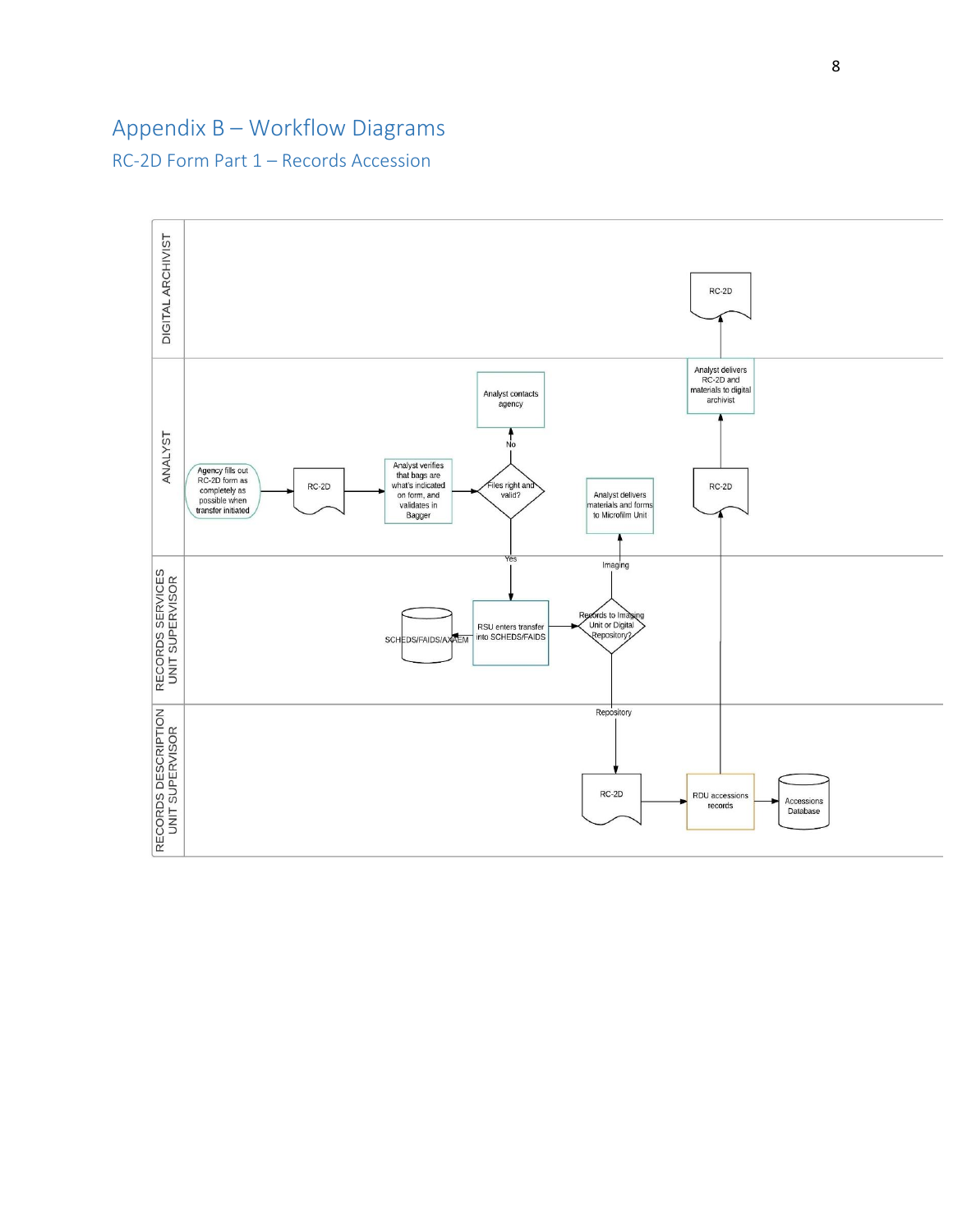# Appendix B – Workflow Diagrams

RC-2D Form Part 1 – Records Accession

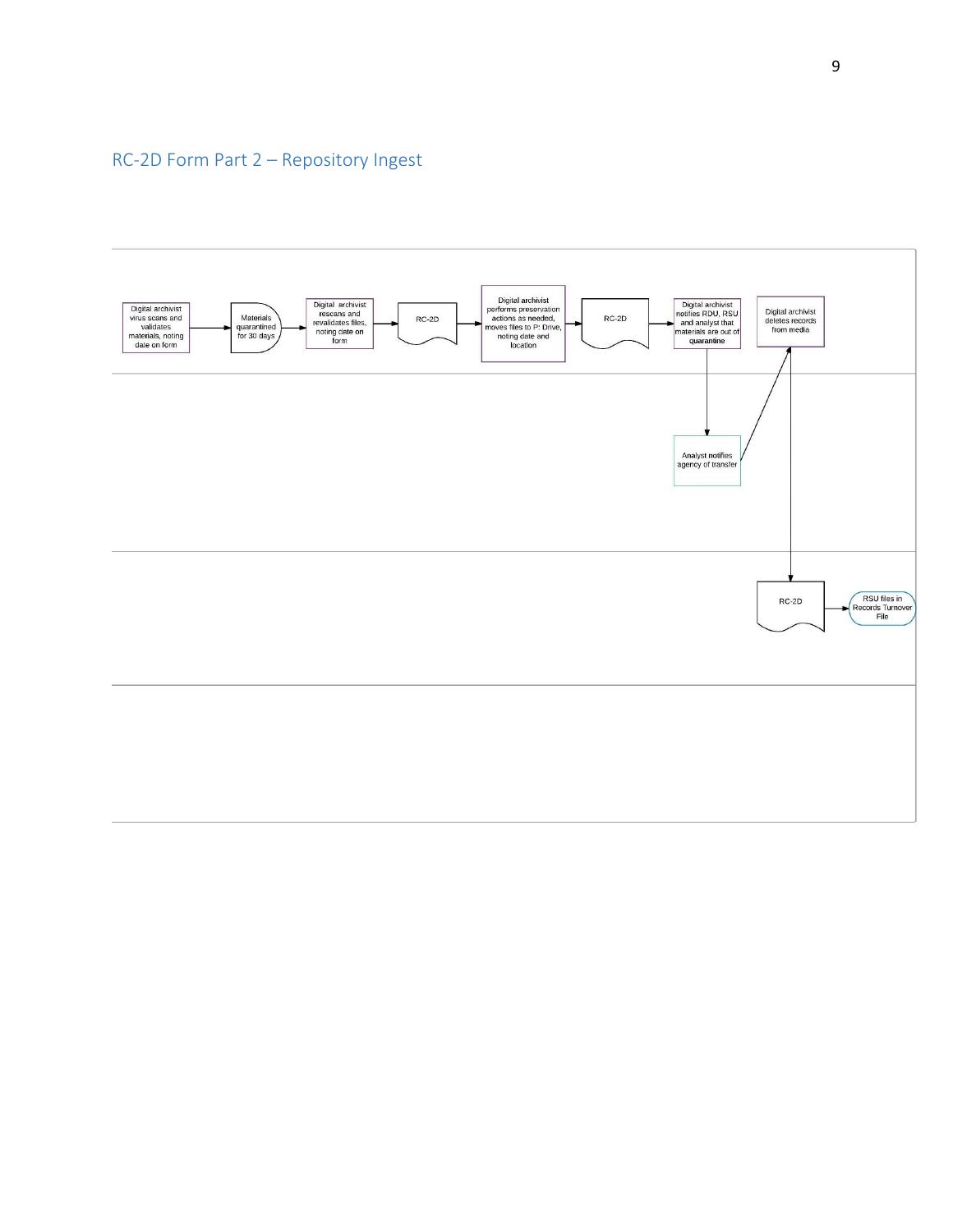# RC-2D Form Part 2 – Repository Ingest

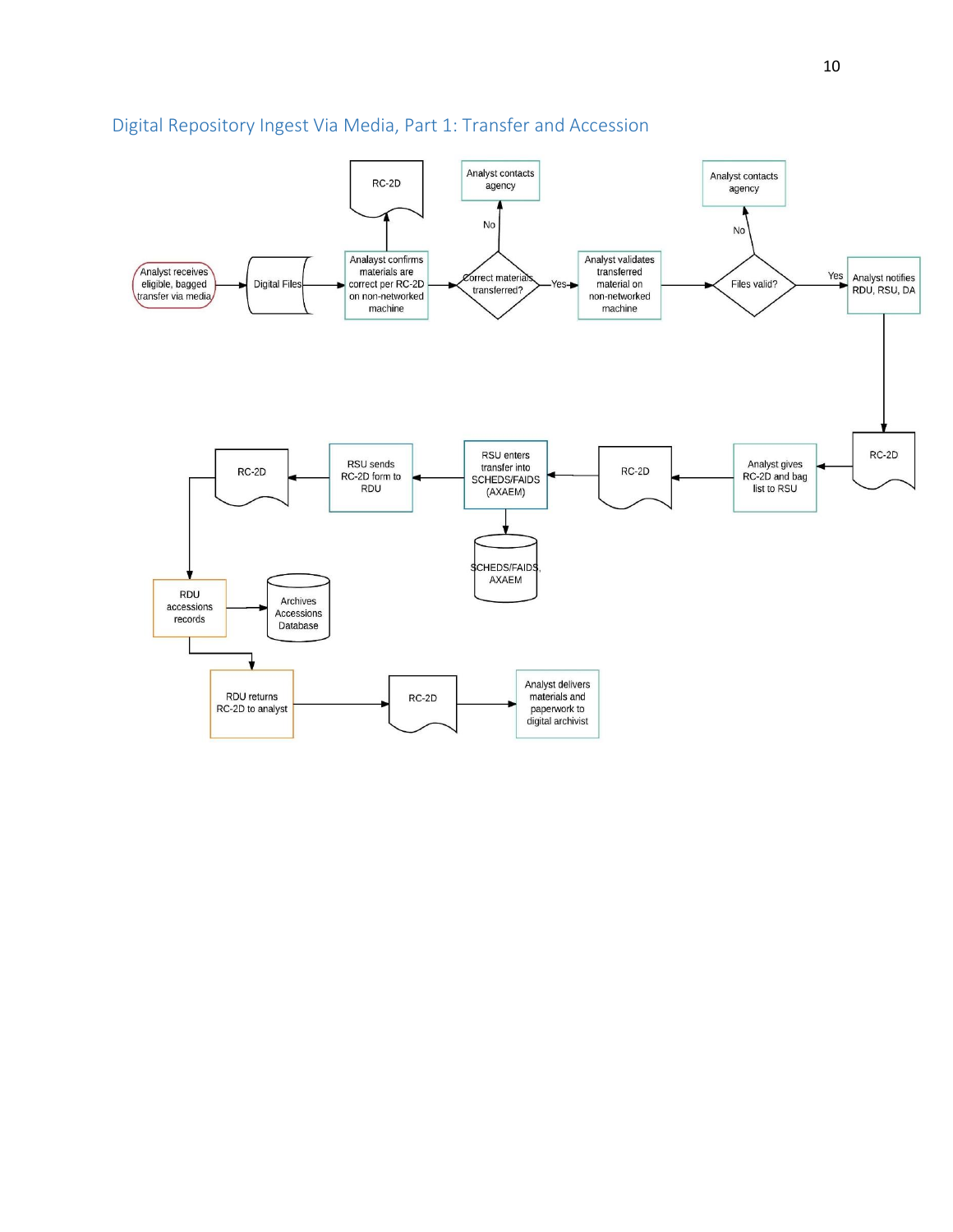

# Digital Repository Ingest Via Media, Part 1: Transfer and Accession